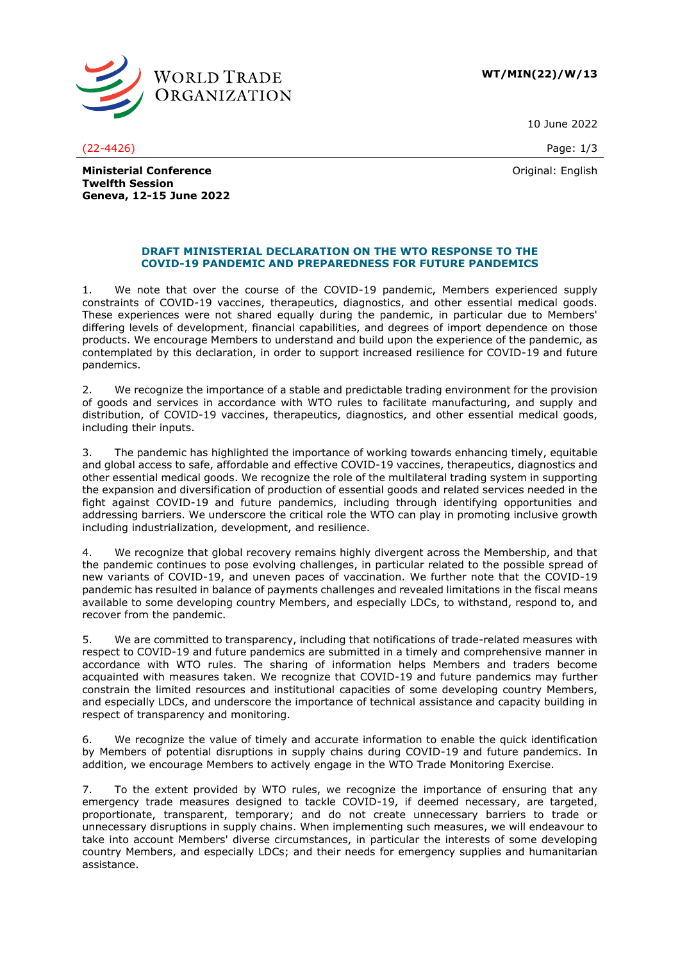

**WT/MIN(22)/W/13**

10 June 2022

(22-4426) Page: 1/3

Original: English

**Ministerial Conference Twelfth Session Geneva, 12-15 June 2022**

## **DRAFT MINISTERIAL DECLARATION ON THE WTO RESPONSE TO THE COVID-19 PANDEMIC AND PREPAREDNESS FOR FUTURE PANDEMICS**

1. We note that over the course of the COVID-19 pandemic, Members experienced supply constraints of COVID-19 vaccines, therapeutics, diagnostics, and other essential medical goods. These experiences were not shared equally during the pandemic, in particular due to Members' differing levels of development, financial capabilities, and degrees of import dependence on those products. We encourage Members to understand and build upon the experience of the pandemic, as contemplated by this declaration, in order to support increased resilience for COVID-19 and future pandemics.

2. We recognize the importance of a stable and predictable trading environment for the provision of goods and services in accordance with WTO rules to facilitate manufacturing, and supply and distribution, of COVID-19 vaccines, therapeutics, diagnostics, and other essential medical goods, including their inputs.

3. The pandemic has highlighted the importance of working towards enhancing timely, equitable and global access to safe, affordable and effective COVID-19 vaccines, therapeutics, diagnostics and other essential medical goods. We recognize the role of the multilateral trading system in supporting the expansion and diversification of production of essential goods and related services needed in the fight against COVID-19 and future pandemics, including through identifying opportunities and addressing barriers. We underscore the critical role the WTO can play in promoting inclusive growth including industrialization, development, and resilience.

4. We recognize that global recovery remains highly divergent across the Membership, and that the pandemic continues to pose evolving challenges, in particular related to the possible spread of new variants of COVID-19, and uneven paces of vaccination. We further note that the COVID-19 pandemic has resulted in balance of payments challenges and revealed limitations in the fiscal means available to some developing country Members, and especially LDCs, to withstand, respond to, and recover from the pandemic.

5. We are committed to transparency, including that notifications of trade-related measures with respect to COVID-19 and future pandemics are submitted in a timely and comprehensive manner in accordance with WTO rules. The sharing of information helps Members and traders become acquainted with measures taken. We recognize that COVID-19 and future pandemics may further constrain the limited resources and institutional capacities of some developing country Members, and especially LDCs, and underscore the importance of technical assistance and capacity building in respect of transparency and monitoring.

6. We recognize the value of timely and accurate information to enable the quick identification by Members of potential disruptions in supply chains during COVID-19 and future pandemics. In addition, we encourage Members to actively engage in the WTO Trade Monitoring Exercise.

7. To the extent provided by WTO rules, we recognize the importance of ensuring that any emergency trade measures designed to tackle COVID-19, if deemed necessary, are targeted, proportionate, transparent, temporary; and do not create unnecessary barriers to trade or unnecessary disruptions in supply chains. When implementing such measures, we will endeavour to take into account Members' diverse circumstances, in particular the interests of some developing country Members, and especially LDCs; and their needs for emergency supplies and humanitarian assistance.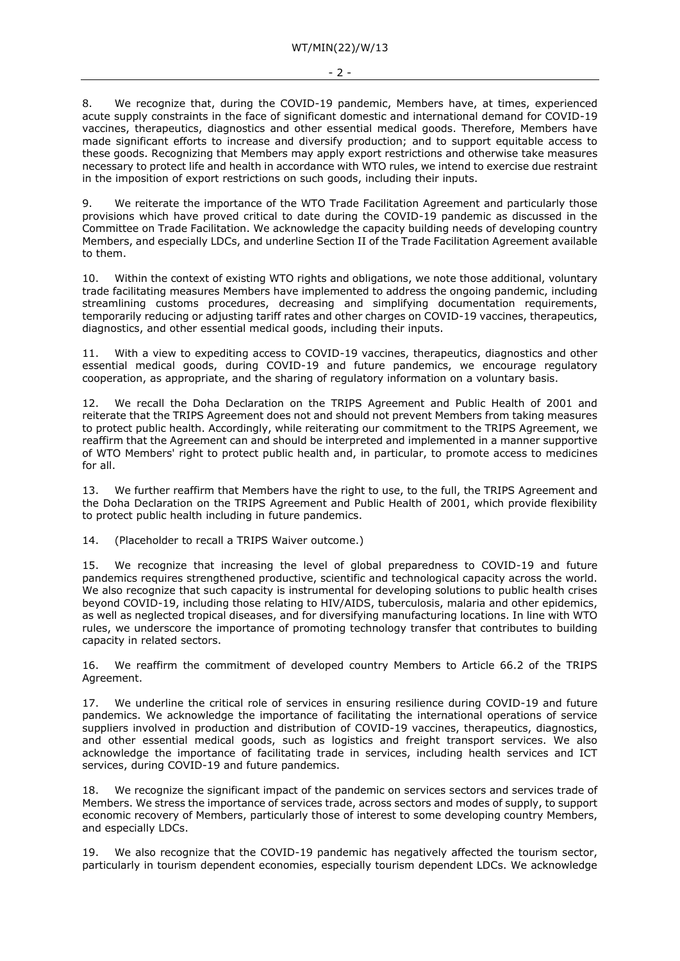8. We recognize that, during the COVID-19 pandemic, Members have, at times, experienced acute supply constraints in the face of significant domestic and international demand for COVID-19 vaccines, therapeutics, diagnostics and other essential medical goods. Therefore, Members have made significant efforts to increase and diversify production; and to support equitable access to these goods. Recognizing that Members may apply export restrictions and otherwise take measures necessary to protect life and health in accordance with WTO rules, we intend to exercise due restraint in the imposition of export restrictions on such goods, including their inputs.

9. We reiterate the importance of the WTO Trade Facilitation Agreement and particularly those provisions which have proved critical to date during the COVID-19 pandemic as discussed in the Committee on Trade Facilitation. We acknowledge the capacity building needs of developing country Members, and especially LDCs, and underline Section II of the Trade Facilitation Agreement available to them.

10. Within the context of existing WTO rights and obligations, we note those additional, voluntary trade facilitating measures Members have implemented to address the ongoing pandemic, including streamlining customs procedures, decreasing and simplifying documentation requirements, temporarily reducing or adjusting tariff rates and other charges on COVID-19 vaccines, therapeutics, diagnostics, and other essential medical goods, including their inputs.

11. With a view to expediting access to COVID-19 vaccines, therapeutics, diagnostics and other essential medical goods, during COVID-19 and future pandemics, we encourage regulatory cooperation, as appropriate, and the sharing of regulatory information on a voluntary basis.

12. We recall the Doha Declaration on the TRIPS Agreement and Public Health of 2001 and reiterate that the TRIPS Agreement does not and should not prevent Members from taking measures to protect public health. Accordingly, while reiterating our commitment to the TRIPS Agreement, we reaffirm that the Agreement can and should be interpreted and implemented in a manner supportive of WTO Members' right to protect public health and, in particular, to promote access to medicines for all.

13. We further reaffirm that Members have the right to use, to the full, the TRIPS Agreement and the Doha Declaration on the TRIPS Agreement and Public Health of 2001, which provide flexibility to protect public health including in future pandemics.

14. (Placeholder to recall a TRIPS Waiver outcome.)

15. We recognize that increasing the level of global preparedness to COVID-19 and future pandemics requires strengthened productive, scientific and technological capacity across the world. We also recognize that such capacity is instrumental for developing solutions to public health crises beyond COVID-19, including those relating to HIV/AIDS, tuberculosis, malaria and other epidemics, as well as neglected tropical diseases, and for diversifying manufacturing locations. In line with WTO rules, we underscore the importance of promoting technology transfer that contributes to building capacity in related sectors.

16. We reaffirm the commitment of developed country Members to Article 66.2 of the TRIPS Agreement.

17. We underline the critical role of services in ensuring resilience during COVID-19 and future pandemics. We acknowledge the importance of facilitating the international operations of service suppliers involved in production and distribution of COVID-19 vaccines, therapeutics, diagnostics, and other essential medical goods, such as logistics and freight transport services. We also acknowledge the importance of facilitating trade in services, including health services and ICT services, during COVID-19 and future pandemics.

18. We recognize the significant impact of the pandemic on services sectors and services trade of Members. We stress the importance of services trade, across sectors and modes of supply, to support economic recovery of Members, particularly those of interest to some developing country Members, and especially LDCs.

19. We also recognize that the COVID-19 pandemic has negatively affected the tourism sector, particularly in tourism dependent economies, especially tourism dependent LDCs. We acknowledge